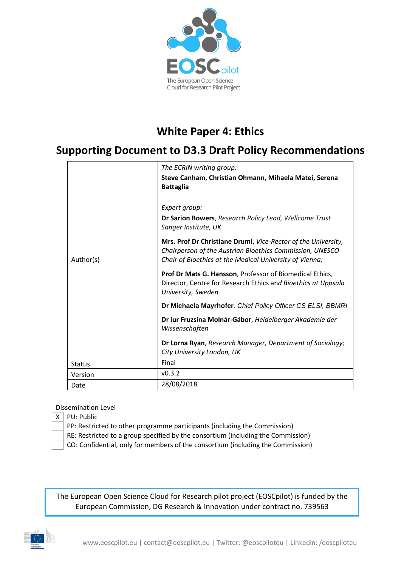

# **White Paper 4: Ethics**

# **Supporting Document to D3.3 Draft Policy Recommendations**

|               | The ECRIN writing group:                                                                                                                                                             |
|---------------|--------------------------------------------------------------------------------------------------------------------------------------------------------------------------------------|
|               | Steve Canham, Christian Ohmann, Mihaela Matei, Serena<br><b>Battaglia</b>                                                                                                            |
|               | Expert group:                                                                                                                                                                        |
|               | Dr Sarion Bowers, Research Policy Lead, Wellcome Trust<br>Sanger Institute, UK                                                                                                       |
| Author(s)     | Mrs. Prof Dr Christiane Druml, Vice-Rector of the University,<br>Chairperson of the Austrian Bioethics Commission, UNESCO<br>Chair of Bioethics at the Medical University of Vienna; |
|               | Prof Dr Mats G. Hansson, Professor of Biomedical Ethics,<br>Director, Centre for Research Ethics and Bioethics at Uppsala<br>University, Sweden.                                     |
|               | Dr Michaela Mayrhofer, Chief Policy Officer CS ELSI, BBMRI                                                                                                                           |
|               | Dr iur Fruzsina Molnár-Gábor, Heidelberger Akademie der<br>Wissenschaften                                                                                                            |
|               | Dr Lorna Ryan, Research Manager, Department of Sociology;<br>City University London, UK                                                                                              |
| <b>Status</b> | Final                                                                                                                                                                                |
| Version       | v0.3.2                                                                                                                                                                               |
| Date          | 28/08/2018                                                                                                                                                                           |

#### Dissemination Level

 $X \mid PU$ : Public

PP: Restricted to other programme participants (including the Commission)

- RE: Restricted to a group specified by the consortium (including the Commission)
- CO: Confidential, only for members of the consortium (including the Commission)

The European Open Science Cloud for Research pilot project (EOSCpilot) is funded by the European Commission, DG Research & Innovation under contract no. 739563

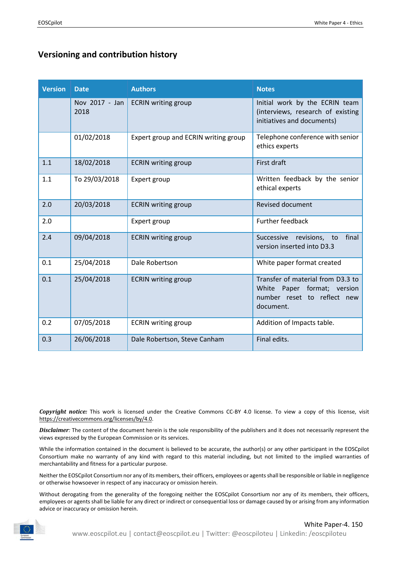# **Versioning and contribution history**

| <b>Version</b> | <b>Date</b>            | <b>Authors</b>                       | <b>Notes</b>                                                                                                 |
|----------------|------------------------|--------------------------------------|--------------------------------------------------------------------------------------------------------------|
|                | Nov 2017 - Jan<br>2018 | <b>ECRIN</b> writing group           | Initial work by the ECRIN team<br>(interviews, research of existing<br>initiatives and documents)            |
|                | 01/02/2018             | Expert group and ECRIN writing group | Telephone conference with senior<br>ethics experts                                                           |
| 1.1            | 18/02/2018             | <b>ECRIN</b> writing group           | First draft                                                                                                  |
| 1.1            | To 29/03/2018          | Expert group                         | Written feedback by the senior<br>ethical experts                                                            |
| 2.0            | 20/03/2018             | <b>ECRIN</b> writing group           | <b>Revised document</b>                                                                                      |
| 2.0            |                        | Expert group                         | <b>Further feedback</b>                                                                                      |
| 2.4            | 09/04/2018             | <b>ECRIN</b> writing group           | final<br>Successive<br>revisions,<br>to<br>version inserted into D3.3                                        |
| 0.1            | 25/04/2018             | Dale Robertson                       | White paper format created                                                                                   |
| 0.1            | 25/04/2018             | <b>ECRIN</b> writing group           | Transfer of material from D3.3 to<br>White Paper format; version<br>number reset to reflect new<br>document. |
| 0.2            | 07/05/2018             | <b>ECRIN</b> writing group           | Addition of Impacts table.                                                                                   |
| 0.3            | 26/06/2018             | Dale Robertson, Steve Canham         | Final edits.                                                                                                 |

*Copyright notice:* This work is licensed under the Creative Commons CC-BY 4.0 license. To view a copy of this license, visit [https://creativecommons.org/licenses/by/4.0.](https://creativecommons.org/licenses/by/4.0)

*Disclaimer:* The content of the document herein is the sole responsibility of the publishers and it does not necessarily represent the views expressed by the European Commission or its services.

While the information contained in the document is believed to be accurate, the author(s) or any other participant in the EOSCpilot Consortium make no warranty of any kind with regard to this material including, but not limited to the implied warranties of merchantability and fitness for a particular purpose.

Neither the EOSCpilot Consortium nor any of its members, their officers, employees or agents shall be responsible or liable in negligence or otherwise howsoever in respect of any inaccuracy or omission herein.

Without derogating from the generality of the foregoing neither the EOSCpilot Consortium nor any of its members, their officers, employees or agents shall be liable for any direct or indirect or consequential loss or damage caused by or arising from any information advice or inaccuracy or omission herein.

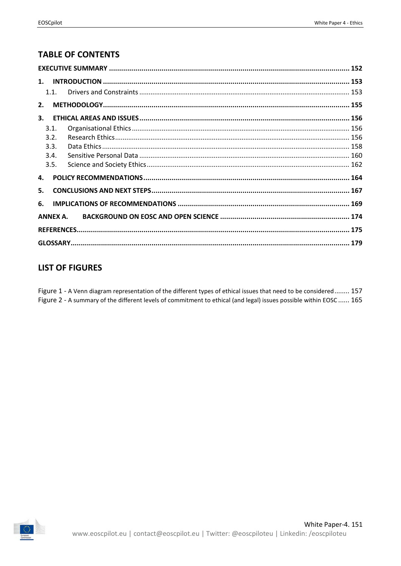# **TABLE OF CONTENTS**

| 2. |          |  |
|----|----------|--|
| 3. |          |  |
|    | 3.1.     |  |
|    | 3.2.     |  |
|    | 3.3.     |  |
|    | 3.4.     |  |
|    | 3.5.     |  |
| 4. |          |  |
| 5. |          |  |
| 6. |          |  |
|    | ANNEX A. |  |
|    |          |  |
|    |          |  |

# **LIST OF FIGURES**

Figure 1 - A Venn diagram representation of the different types of ethical issues that need to be considered........ 157 Figure 2 - A summary of the different levels of commitment to ethical (and legal) issues possible within EOSC ...... 165

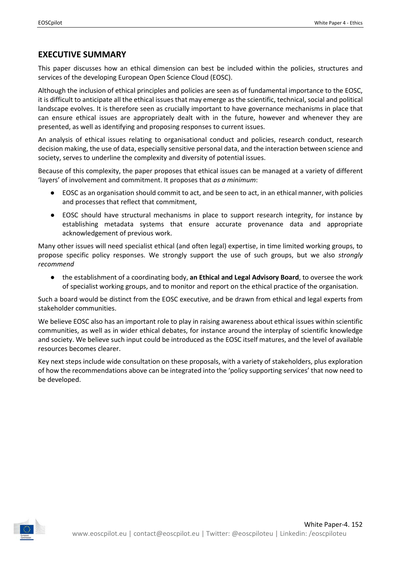### <span id="page-3-0"></span>**EXECUTIVE SUMMARY**

This paper discusses how an ethical dimension can best be included within the policies, structures and services of the developing European Open Science Cloud (EOSC).

Although the inclusion of ethical principles and policies are seen as of fundamental importance to the EOSC, it is difficult to anticipate all the ethical issues that may emerge as the scientific, technical, social and political landscape evolves. It is therefore seen as crucially important to have governance mechanisms in place that can ensure ethical issues are appropriately dealt with in the future, however and whenever they are presented, as well as identifying and proposing responses to current issues.

An analysis of ethical issues relating to organisational conduct and policies, research conduct, research decision making, the use of data, especially sensitive personal data, and the interaction between science and society, serves to underline the complexity and diversity of potential issues.

Because of this complexity, the paper proposes that ethical issues can be managed at a variety of different 'layers' of involvement and commitment. It proposes that *as a minimum*:

- EOSC as an organisation should commit to act, and be seen to act, in an ethical manner, with policies and processes that reflect that commitment,
- EOSC should have structural mechanisms in place to support research integrity, for instance by establishing metadata systems that ensure accurate provenance data and appropriate acknowledgement of previous work.

Many other issues will need specialist ethical (and often legal) expertise, in time limited working groups, to propose specific policy responses. We strongly support the use of such groups, but we also *strongly recommend* 

● the establishment of a coordinating body, **an Ethical and Legal Advisory Board**, to oversee the work of specialist working groups, and to monitor and report on the ethical practice of the organisation.

Such a board would be distinct from the EOSC executive, and be drawn from ethical and legal experts from stakeholder communities.

We believe EOSC also has an important role to play in raising awareness about ethical issues within scientific communities, as well as in wider ethical debates, for instance around the interplay of scientific knowledge and society. We believe such input could be introduced as the EOSC itself matures, and the level of available resources becomes clearer.

Key next steps include wide consultation on these proposals, with a variety of stakeholders, plus exploration of how the recommendations above can be integrated into the 'policy supporting services' that now need to be developed.

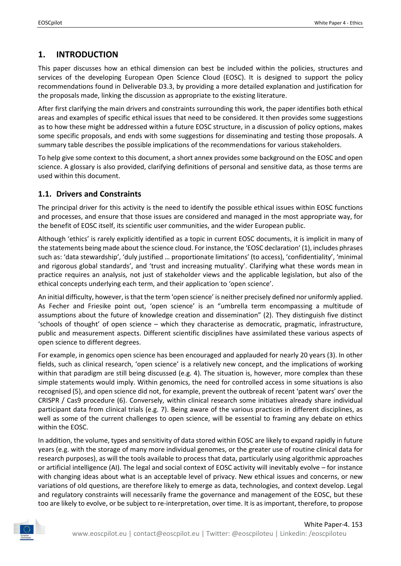# <span id="page-4-0"></span>**1. INTRODUCTION**

This paper discusses how an ethical dimension can best be included within the policies, structures and services of the developing European Open Science Cloud (EOSC). It is designed to support the policy recommendations found in Deliverable D3.3, by providing a more detailed explanation and justification for the proposals made, linking the discussion as appropriate to the existing literature.

After first clarifying the main drivers and constraints surrounding this work, the paper identifies both ethical areas and examples of specific ethical issues that need to be considered. It then provides some suggestions as to how these might be addressed within a future EOSC structure, in a discussion of policy options, makes some specific proposals, and ends with some suggestions for disseminating and testing those proposals. A summary table describes the possible implications of the recommendations for various stakeholders.

To help give some context to this document, a short annex provides some background on the EOSC and open science. A glossary is also provided, clarifying definitions of personal and sensitive data, as those terms are used within this document.

## <span id="page-4-1"></span>**1.1. Drivers and Constraints**

The principal driver for this activity is the need to identify the possible ethical issues within EOSC functions and processes, and ensure that those issues are considered and managed in the most appropriate way, for the benefit of EOSC itself, its scientific user communities, and the wider European public.

Although 'ethics' is rarely explicitly identified as a topic in current EOSC documents, it is implicit in many of the statements being made about the science cloud. For instance, the 'EOSC declaration' (1), includes phrases such as: 'data stewardship', 'duly justified … proportionate limitations' (to access), 'confidentiality', 'minimal and rigorous global standards', and 'trust and increasing mutuality'. Clarifying what these words mean in practice requires an analysis, not just of stakeholder views and the applicable legislation, but also of the ethical concepts underlying each term, and their application to 'open science'.

An initial difficulty, however, is that the term 'open science' is neither precisely defined nor uniformly applied. As Fecher and Friesike point out, 'open science' is an "umbrella term encompassing a multitude of assumptions about the future of knowledge creation and dissemination" (2). They distinguish five distinct 'schools of thought' of open science – which they characterise as democratic, pragmatic, infrastructure, public and measurement aspects. Different scientific disciplines have assimilated these various aspects of open science to different degrees.

For example, in genomics open science has been encouraged and applauded for nearly 20 years (3). In other fields, such as clinical research, 'open science' is a relatively new concept, and the implications of working within that paradigm are still being discussed (e.g. 4). The situation is, however, more complex than these simple statements would imply. Within genomics, the need for controlled access in some situations is also recognised (5), and open science did not, for example, prevent the outbreak of recent 'patent wars' over the CRISPR / Cas9 procedure (6). Conversely, within clinical research some initiatives already share individual participant data from clinical trials (e.g. 7). Being aware of the various practices in different disciplines, as well as some of the current challenges to open science, will be essential to framing any debate on ethics within the EOSC.

In addition, the volume, types and sensitivity of data stored within EOSC are likely to expand rapidly in future years (e.g. with the storage of many more individual genomes, or the greater use of routine clinical data for research purposes), as will the tools available to process that data, particularly using algorithmic approaches or artificial intelligence (AI). The legal and social context of EOSC activity will inevitably evolve – for instance with changing ideas about what is an acceptable level of privacy. New ethical issues and concerns, or new variations of old questions, are therefore likely to emerge as data, technologies, and context develop. Legal and regulatory constraints will necessarily frame the governance and management of the EOSC, but these too are likely to evolve, or be subject to re-interpretation, over time. It is as important, therefore, to propose

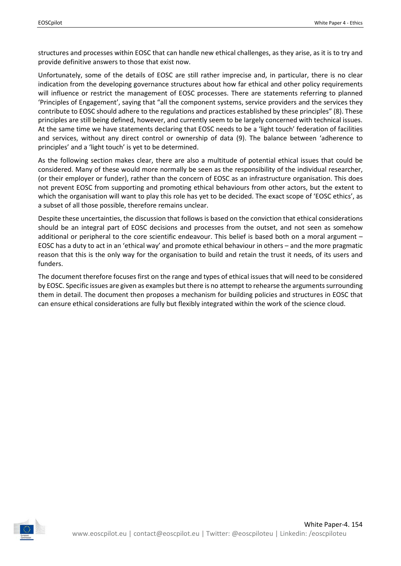structures and processes within EOSC that can handle new ethical challenges, as they arise, as it is to try and provide definitive answers to those that exist now.

Unfortunately, some of the details of EOSC are still rather imprecise and, in particular, there is no clear indication from the developing governance structures about how far ethical and other policy requirements will influence or restrict the management of EOSC processes. There are statements referring to planned 'Principles of Engagement', saying that "all the component systems, service providers and the services they contribute to EOSC should adhere to the regulations and practices established by these principles" (8). These principles are still being defined, however, and currently seem to be largely concerned with technical issues. At the same time we have statements declaring that EOSC needs to be a 'light touch' federation of facilities and services, without any direct control or ownership of data (9). The balance between 'adherence to principles' and a 'light touch' is yet to be determined.

As the following section makes clear, there are also a multitude of potential ethical issues that could be considered. Many of these would more normally be seen as the responsibility of the individual researcher, (or their employer or funder), rather than the concern of EOSC as an infrastructure organisation. This does not prevent EOSC from supporting and promoting ethical behaviours from other actors, but the extent to which the organisation will want to play this role has yet to be decided. The exact scope of 'EOSC ethics', as a subset of all those possible, therefore remains unclear.

Despite these uncertainties, the discussion that follows is based on the conviction that ethical considerations should be an integral part of EOSC decisions and processes from the outset, and not seen as somehow additional or peripheral to the core scientific endeavour. This belief is based both on a moral argument – EOSC has a duty to act in an 'ethical way' and promote ethical behaviour in others – and the more pragmatic reason that this is the only way for the organisation to build and retain the trust it needs, of its users and funders.

The document therefore focuses first on the range and types of ethical issues that will need to be considered by EOSC. Specific issues are given as examples but there is no attempt to rehearse the arguments surrounding them in detail. The document then proposes a mechanism for building policies and structures in EOSC that can ensure ethical considerations are fully but flexibly integrated within the work of the science cloud.

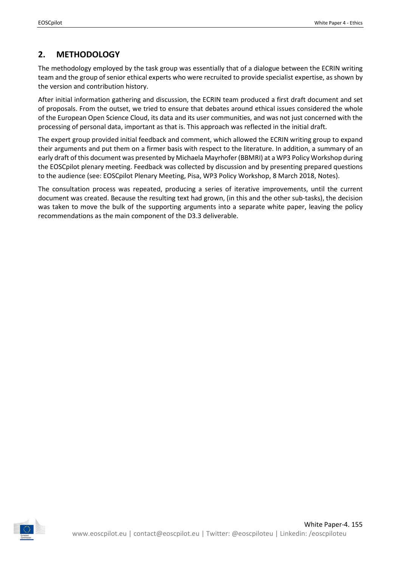# <span id="page-6-0"></span>**2. METHODOLOGY**

The methodology employed by the task group was essentially that of a dialogue between the ECRIN writing team and the group of senior ethical experts who were recruited to provide specialist expertise, as shown by the version and contribution history.

After initial information gathering and discussion, the ECRIN team produced a first draft document and set of proposals. From the outset, we tried to ensure that debates around ethical issues considered the whole of the European Open Science Cloud, its data and its user communities, and was not just concerned with the processing of personal data, important as that is. This approach was reflected in the initial draft.

The expert group provided initial feedback and comment, which allowed the ECRIN writing group to expand their arguments and put them on a firmer basis with respect to the literature. In addition, a summary of an early draft of this document was presented by Michaela Mayrhofer (BBMRI) at a WP3 Policy Workshop during the EOSCpilot plenary meeting. Feedback was collected by discussion and by presenting prepared questions to the audience (see: EOSCpilot Plenary Meeting, Pisa, WP3 Policy Workshop, 8 March 2018, Notes).

The consultation process was repeated, producing a series of iterative improvements, until the current document was created. Because the resulting text had grown, (in this and the other sub-tasks), the decision was taken to move the bulk of the supporting arguments into a separate white paper, leaving the policy recommendations as the main component of the D3.3 deliverable.

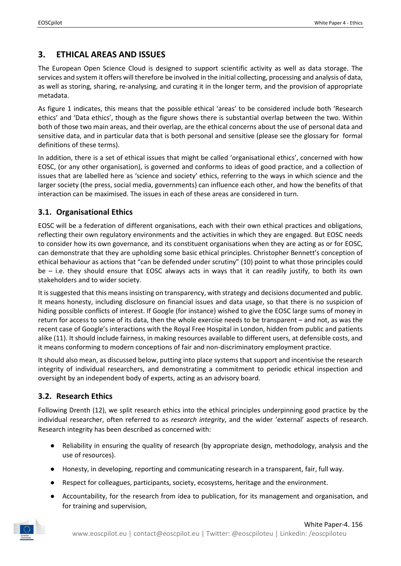# <span id="page-7-0"></span>**3. ETHICAL AREAS AND ISSUES**

The European Open Science Cloud is designed to support scientific activity as well as data storage. The services and system it offers will therefore be involved in the initial collecting, processing and analysis of data, as well as storing, sharing, re-analysing, and curating it in the longer term, and the provision of appropriate metadata.

As figure 1 indicates, this means that the possible ethical 'areas' to be considered include both 'Research ethics' and 'Data ethics', though as the figure shows there is substantial overlap between the two. Within both of those two main areas, and their overlap, are the ethical concerns about the use of personal data and sensitive data, and in particular data that is both personal and sensitive (please see the glossary for formal definitions of these terms).

In addition, there is a set of ethical issues that might be called 'organisational ethics', concerned with how EOSC, (or any other organisation), is governed and conforms to ideas of good practice, and a collection of issues that are labelled here as 'science and society' ethics, referring to the ways in which science and the larger society (the press, social media, governments) can influence each other, and how the benefits of that interaction can be maximised. The issues in each of these areas are considered in turn.

### <span id="page-7-1"></span>**3.1. Organisational Ethics**

EOSC will be a federation of different organisations, each with their own ethical practices and obligations, reflecting their own regulatory environments and the activities in which they are engaged. But EOSC needs to consider how its own governance, and its constituent organisations when they are acting as or for EOSC, can demonstrate that they are upholding some basic ethical principles. Christopher Bennett's conception of ethical behaviour as actions that "can be defended under scrutiny" (10) point to what those principles could be – i.e. they should ensure that EOSC always acts in ways that it can readily justify, to both its own stakeholders and to wider society.

It is suggested that this means insisting on transparency, with strategy and decisions documented and public. It means honesty, including disclosure on financial issues and data usage, so that there is no suspicion of hiding possible conflicts of interest. If Google (for instance) wished to give the EOSC large sums of money in return for access to some of its data, then the whole exercise needs to be transparent – and not, as was the recent case of Google's interactions with the Royal Free Hospital in London, hidden from public and patients alike (11). It should include fairness, in making resources available to different users, at defensible costs, and it means conforming to modern conceptions of fair and non-discriminatory employment practice.

It should also mean, as discussed below, putting into place systems that support and incentivise the research integrity of individual researchers, and demonstrating a commitment to periodic ethical inspection and oversight by an independent body of experts, acting as an advisory board.

## <span id="page-7-2"></span>**3.2. Research Ethics**

Following Drenth (12), we split research ethics into the ethical principles underpinning good practice by the individual researcher, often referred to as *research integrity*, and the wider 'external' aspects of research. Research integrity has been described as concerned with:

- Reliability in ensuring the quality of research (by appropriate design, methodology, analysis and the use of resources).
- Honesty, in developing, reporting and communicating research in a transparent, fair, full way.
- Respect for colleagues, participants, society, ecosystems, heritage and the environment.
- Accountability, for the research from idea to publication, for its management and organisation, and for training and supervision,

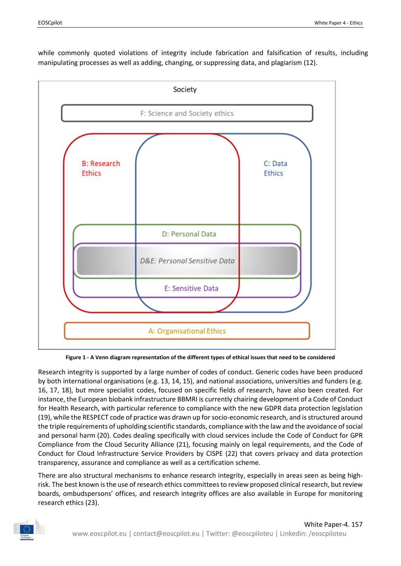while commonly quoted violations of integrity include fabrication and falsification of results, including manipulating processes as well as adding, changing, or suppressing data, and plagiarism (12).



**Figure 1 - A Venn diagram representation of the different types of ethical issues that need to be considered**

<span id="page-8-0"></span>Research integrity is supported by a large number of codes of conduct. Generic codes have been produced by both international organisations (e.g. 13, 14, 15), and national associations, universities and funders (e.g. 16, 17, 18), but more specialist codes, focused on specific fields of research, have also been created. For instance, the European biobank infrastructure BBMRI is currently chairing development of a Code of Conduct for Health Research, with particular reference to compliance with the new GDPR data protection legislation (19), while the RESPECT code of practice was drawn up for socio-economic research, and is structured around the triple requirements of upholding scientific standards, compliance with the law and the avoidance of social and personal harm (20). Codes dealing specifically with cloud services include the Code of Conduct for GPR Compliance from the Cloud Security Alliance (21), focusing mainly on legal requirements, and the Code of Conduct for Cloud Infrastructure Service Providers by CISPE (22) that covers privacy and data protection transparency, assurance and compliance as well as a certification scheme.

There are also structural mechanisms to enhance research integrity, especially in areas seen as being highrisk. The best known is the use of research ethics committees to review proposed clinical research, but review boards, ombudspersons' offices, and research integrity offices are also available in Europe for monitoring research ethics (23).

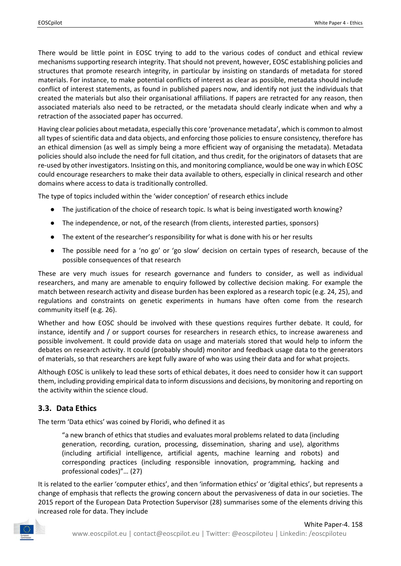There would be little point in EOSC trying to add to the various codes of conduct and ethical review mechanisms supporting research integrity. That should not prevent, however, EOSC establishing policies and structures that promote research integrity, in particular by insisting on standards of metadata for stored materials. For instance, to make potential conflicts of interest as clear as possible, metadata should include conflict of interest statements, as found in published papers now, and identify not just the individuals that created the materials but also their organisational affiliations. If papers are retracted for any reason, then associated materials also need to be retracted, or the metadata should clearly indicate when and why a retraction of the associated paper has occurred.

Having clear policies about metadata, especially this core 'provenance metadata', which is common to almost all types of scientific data and data objects, and enforcing those policies to ensure consistency, therefore has an ethical dimension (as well as simply being a more efficient way of organising the metadata). Metadata policies should also include the need for full citation, and thus credit, for the originators of datasets that are re-used by other investigators. Insisting on this, and monitoring compliance, would be one way in which EOSC could encourage researchers to make their data available to others, especially in clinical research and other domains where access to data is traditionally controlled.

The type of topics included within the 'wider conception' of research ethics include

- The justification of the choice of research topic. Is what is being investigated worth knowing?
- The independence, or not, of the research (from clients, interested parties, sponsors)
- The extent of the researcher's responsibility for what is done with his or her results
- The possible need for a 'no go' or 'go slow' decision on certain types of research, because of the possible consequences of that research

These are very much issues for research governance and funders to consider, as well as individual researchers, and many are amenable to enquiry followed by collective decision making. For example the match between research activity and disease burden has been explored as a research topic (e.g. 24, 25), and regulations and constraints on genetic experiments in humans have often come from the research community itself (e.g. 26).

Whether and how EOSC should be involved with these questions requires further debate. It could, for instance, identify and / or support courses for researchers in research ethics, to increase awareness and possible involvement. It could provide data on usage and materials stored that would help to inform the debates on research activity. It could (probably should) monitor and feedback usage data to the generators of materials, so that researchers are kept fully aware of who was using their data and for what projects.

Although EOSC is unlikely to lead these sorts of ethical debates, it does need to consider how it can support them, including providing empirical data to inform discussions and decisions, by monitoring and reporting on the activity within the science cloud.

## <span id="page-9-0"></span>**3.3. Data Ethics**

The term 'Data ethics' was coined by Floridi, who defined it as

"a new branch of ethics that studies and evaluates moral problems related to data (including generation, recording, curation, processing, dissemination, sharing and use), algorithms (including artificial intelligence, artificial agents, machine learning and robots) and corresponding practices (including responsible innovation, programming, hacking and professional codes)"… (27)

It is related to the earlier 'computer ethics', and then 'information ethics' or 'digital ethics', but represents a change of emphasis that reflects the growing concern about the pervasiveness of data in our societies. The 2015 report of the European Data Protection Supervisor (28) summarises some of the elements driving this increased role for data. They include

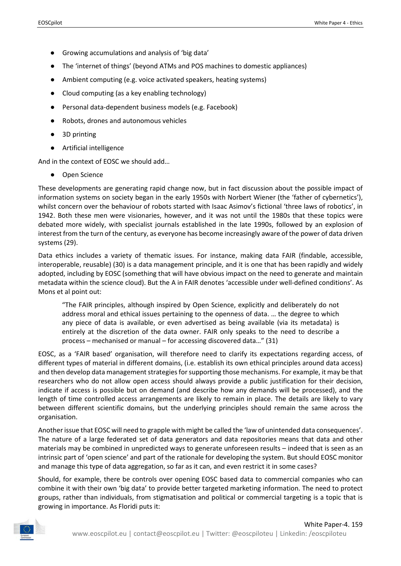- Growing accumulations and analysis of 'big data'
- The 'internet of things' (beyond ATMs and POS machines to domestic appliances)
- Ambient computing (e.g. voice activated speakers, heating systems)
- Cloud computing (as a key enabling technology)
- Personal data-dependent business models (e.g. Facebook)
- Robots, drones and autonomous vehicles
- 3D printing
- Artificial intelligence

And in the context of EOSC we should add…

● Open Science

These developments are generating rapid change now, but in fact discussion about the possible impact of information systems on society began in the early 1950s with Norbert Wiener (the 'father of cybernetics'), whilst concern over the behaviour of robots started with Isaac Asimov's fictional 'three laws of robotics', in 1942. Both these men were visionaries, however, and it was not until the 1980s that these topics were debated more widely, with specialist journals established in the late 1990s, followed by an explosion of interest from the turn of the century, as everyone has become increasingly aware of the power of data driven systems (29).

Data ethics includes a variety of thematic issues. For instance, making data FAIR (findable, accessible, interoperable, reusable) (30) is a data management principle, and it is one that has been rapidly and widely adopted, including by EOSC (something that will have obvious impact on the need to generate and maintain metadata within the science cloud). But the A in FAIR denotes 'accessible under well-defined conditions'. As Mons et al point out:

"The FAIR principles, although inspired by Open Science, explicitly and deliberately do not address moral and ethical issues pertaining to the openness of data. … the degree to which any piece of data is available, or even advertised as being available (via its metadata) is entirely at the discretion of the data owner. FAIR only speaks to the need to describe a process – mechanised or manual – for accessing discovered data…" (31)

EOSC, as a 'FAIR based' organisation, will therefore need to clarify its expectations regarding access, of different types of material in different domains, (i.e. establish its own ethical principles around data access) and then develop data management strategies for supporting those mechanisms. For example, it may be that researchers who do not allow open access should always provide a public justification for their decision, indicate if access is possible but on demand (and describe how any demands will be processed), and the length of time controlled access arrangements are likely to remain in place. The details are likely to vary between different scientific domains, but the underlying principles should remain the same across the organisation.

Another issue that EOSC will need to grapple with might be called the 'law of unintended data consequences'. The nature of a large federated set of data generators and data repositories means that data and other materials may be combined in unpredicted ways to generate unforeseen results – indeed that is seen as an intrinsic part of 'open science' and part of the rationale for developing the system. But should EOSC monitor and manage this type of data aggregation, so far as it can, and even restrict it in some cases?

Should, for example, there be controls over opening EOSC based data to commercial companies who can combine it with their own 'big data' to provide better targeted marketing information. The need to protect groups, rather than individuals, from stigmatisation and political or commercial targeting is a topic that is growing in importance. As Floridi puts it:

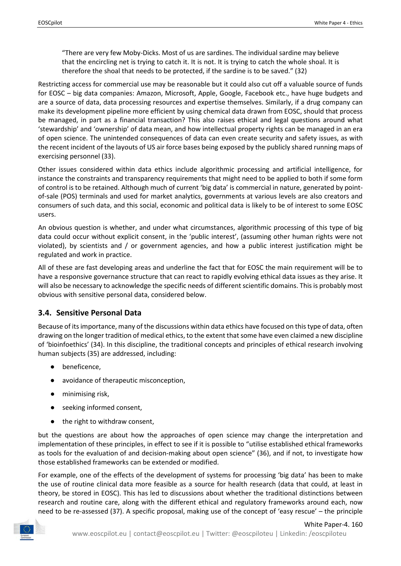"There are very few Moby-Dicks. Most of us are sardines. The individual sardine may believe that the encircling net is trying to catch it. It is not. It is trying to catch the whole shoal. It is therefore the shoal that needs to be protected, if the sardine is to be saved." (32)

Restricting access for commercial use may be reasonable but it could also cut off a valuable source of funds for EOSC – big data companies: Amazon, Microsoft, Apple, Google, Facebook etc., have huge budgets and are a source of data, data processing resources and expertise themselves. Similarly, if a drug company can make its development pipeline more efficient by using chemical data drawn from EOSC, should that process be managed, in part as a financial transaction? This also raises ethical and legal questions around what 'stewardship' and 'ownership' of data mean, and how intellectual property rights can be managed in an era of open science. The unintended consequences of data can even create security and safety issues, as with the recent incident of the layouts of US air force bases being exposed by the publicly shared running maps of exercising personnel (33).

Other issues considered within data ethics include algorithmic processing and artificial intelligence, for instance the constraints and transparency requirements that might need to be applied to both if some form of control is to be retained. Although much of current 'big data' is commercial in nature, generated by pointof-sale (POS) terminals and used for market analytics, governments at various levels are also creators and consumers of such data, and this social, economic and political data is likely to be of interest to some EOSC users.

An obvious question is whether, and under what circumstances, algorithmic processing of this type of big data could occur without explicit consent, in the 'public interest', (assuming other human rights were not violated), by scientists and / or government agencies, and how a public interest justification might be regulated and work in practice.

All of these are fast developing areas and underline the fact that for EOSC the main requirement will be to have a responsive governance structure that can react to rapidly evolving ethical data issues as they arise. It will also be necessary to acknowledge the specific needs of different scientific domains. This is probably most obvious with sensitive personal data, considered below.

## <span id="page-11-0"></span>**3.4. Sensitive Personal Data**

Because of its importance, many of the discussions within data ethics have focused on this type of data, often drawing on the longer tradition of medical ethics, to the extent that some have even claimed a new discipline of 'bioinfoethics' (34). In this discipline, the traditional concepts and principles of ethical research involving human subjects (35) are addressed, including:

- beneficence,
- avoidance of therapeutic misconception,
- minimising risk,
- seeking informed consent,
- the right to withdraw consent,

but the questions are about how the approaches of open science may change the interpretation and implementation of these principles, in effect to see if it is possible to "utilise established ethical frameworks as tools for the evaluation of and decision-making about open science" (36), and if not, to investigate how those established frameworks can be extended or modified.

For example, one of the effects of the development of systems for processing 'big data' has been to make the use of routine clinical data more feasible as a source for health research (data that could, at least in theory, be stored in EOSC). This has led to discussions about whether the traditional distinctions between research and routine care, along with the different ethical and regulatory frameworks around each, now need to be re-assessed (37). A specific proposal, making use of the concept of 'easy rescue' – the principle

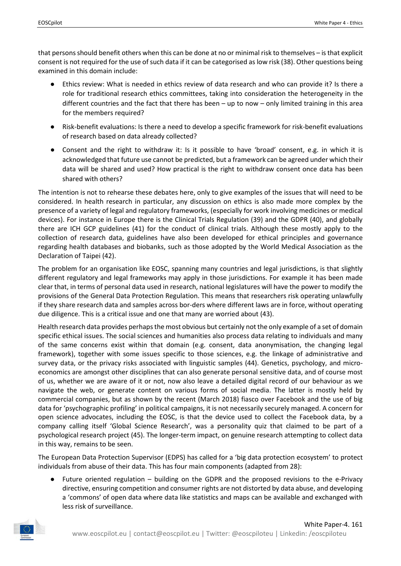that persons should benefit others when this can be done at no or minimal risk to themselves – is that explicit consent is not required for the use of such data if it can be categorised as low risk (38). Other questions being examined in this domain include:

- Ethics review: What is needed in ethics review of data research and who can provide it? Is there a role for traditional research ethics committees, taking into consideration the heterogeneity in the different countries and the fact that there has been – up to now – only limited training in this area for the members required?
- Risk-benefit evaluations: Is there a need to develop a specific framework for risk-benefit evaluations of research based on data already collected?
- Consent and the right to withdraw it: Is it possible to have 'broad' consent, e.g. in which it is acknowledged that future use cannot be predicted, but a framework can be agreed under which their data will be shared and used? How practical is the right to withdraw consent once data has been shared with others?

The intention is not to rehearse these debates here, only to give examples of the issues that will need to be considered. In health research in particular, any discussion on ethics is also made more complex by the presence of a variety of legal and regulatory frameworks, (especially for work involving medicines or medical devices). For instance in Europe there is the Clinical Trials Regulation (39) and the GDPR (40), and globally there are ICH GCP guidelines (41) for the conduct of clinical trials. Although these mostly apply to the collection of research data, guidelines have also been developed for ethical principles and governance regarding health databases and biobanks, such as those adopted by the World Medical Association as the Declaration of Taipei (42).

The problem for an organisation like EOSC, spanning many countries and legal jurisdictions, is that slightly different regulatory and legal frameworks may apply in those jurisdictions. For example it has been made clear that, in terms of personal data used in research, national legislatures will have the power to modify the provisions of the General Data Protection Regulation. This means that researchers risk operating unlawfully if they share research data and samples across bor-ders where different laws are in force, without operating due diligence. This is a critical issue and one that many are worried about (43).

Health research data provides perhaps the most obvious but certainly not the only example of a set of domain specific ethical issues. The social sciences and humanities also process data relating to individuals and many of the same concerns exist within that domain (e.g. consent, data anonymisation, the changing legal framework), together with some issues specific to those sciences, e.g. the linkage of administrative and survey data, or the privacy risks associated with linguistic samples (44). Genetics, psychology, and microeconomics are amongst other disciplines that can also generate personal sensitive data, and of course most of us, whether we are aware of it or not, now also leave a detailed digital record of our behaviour as we navigate the web, or generate content on various forms of social media. The latter is mostly held by commercial companies, but as shown by the recent (March 2018) fiasco over Facebook and the use of big data for 'psychographic profiling' in political campaigns, it is not necessarily securely managed. A concern for open science advocates, including the EOSC, is that the device used to collect the Facebook data, by a company calling itself 'Global Science Research', was a personality quiz that claimed to be part of a psychological research project (45). The longer-term impact, on genuine research attempting to collect data in this way, remains to be seen.

The European Data Protection Supervisor (EDPS) has called for a 'big data protection ecosystem' to protect individuals from abuse of their data. This has four main components (adapted from 28):

● Future oriented regulation – building on the GDPR and the proposed revisions to the e-Privacy directive, ensuring competition and consumer rights are not distorted by data abuse, and developing a 'commons' of open data where data like statistics and maps can be available and exchanged with less risk of surveillance.

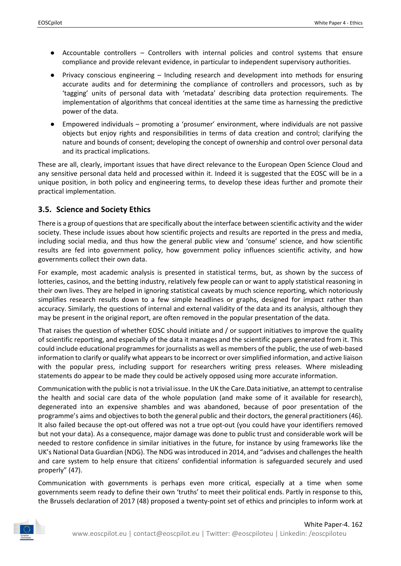- Accountable controllers Controllers with internal policies and control systems that ensure compliance and provide relevant evidence, in particular to independent supervisory authorities.
- Privacy conscious engineering Including research and development into methods for ensuring accurate audits and for determining the compliance of controllers and processors, such as by 'tagging' units of personal data with 'metadata' describing data protection requirements. The implementation of algorithms that conceal identities at the same time as harnessing the predictive power of the data.
- Empowered individuals promoting a 'prosumer' environment, where individuals are not passive objects but enjoy rights and responsibilities in terms of data creation and control; clarifying the nature and bounds of consent; developing the concept of ownership and control over personal data and its practical implications.

These are all, clearly, important issues that have direct relevance to the European Open Science Cloud and any sensitive personal data held and processed within it. Indeed it is suggested that the EOSC will be in a unique position, in both policy and engineering terms, to develop these ideas further and promote their practical implementation.

## <span id="page-13-0"></span>**3.5. Science and Society Ethics**

There is a group of questions that are specifically about the interface between scientific activity and the wider society. These include issues about how scientific projects and results are reported in the press and media, including social media, and thus how the general public view and 'consume' science, and how scientific results are fed into government policy, how government policy influences scientific activity, and how governments collect their own data.

For example, most academic analysis is presented in statistical terms, but, as shown by the success of lotteries, casinos, and the betting industry, relatively few people can or want to apply statistical reasoning in their own lives. They are helped in ignoring statistical caveats by much science reporting, which notoriously simplifies research results down to a few simple headlines or graphs, designed for impact rather than accuracy. Similarly, the questions of internal and external validity of the data and its analysis, although they may be present in the original report, are often removed in the popular presentation of the data.

That raises the question of whether EOSC should initiate and / or support initiatives to improve the quality of scientific reporting, and especially of the data it manages and the scientific papers generated from it. This could include educational programmes for journalists as well as members of the public, the use of web-based information to clarify or qualify what appears to be incorrect or over simplified information, and active liaison with the popular press, including support for researchers writing press releases. Where misleading statements do appear to be made they could be actively opposed using more accurate information.

Communication with the public is not a trivial issue. In the UK the Care.Data initiative, an attempt to centralise the health and social care data of the whole population (and make some of it available for research), degenerated into an expensive shambles and was abandoned, because of poor presentation of the programme's aims and objectives to both the general public and their doctors, the general practitioners (46). It also failed because the opt-out offered was not a true opt-out (you could have your identifiers removed but not your data). As a consequence, major damage was done to public trust and considerable work will be needed to restore confidence in similar initiatives in the future, for instance by using frameworks like the UK's National Data Guardian (NDG). The NDG was introduced in 2014, and "advises and challenges the health and care system to help ensure that citizens' confidential information is safeguarded securely and used properly" (47).

Communication with governments is perhaps even more critical, especially at a time when some governments seem ready to define their own 'truths' to meet their political ends. Partly in response to this, the Brussels declaration of 2017 (48) proposed a twenty-point set of ethics and principles to inform work at

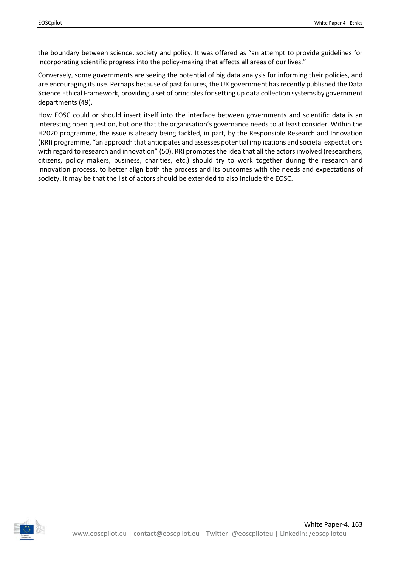the boundary between science, society and policy. It was offered as "an attempt to provide guidelines for incorporating scientific progress into the policy-making that affects all areas of our lives."

Conversely, some governments are seeing the potential of big data analysis for informing their policies, and are encouraging its use. Perhaps because of past failures, the UK government has recently published the Data Science Ethical Framework, providing a set of principles for setting up data collection systems by government departments (49).

How EOSC could or should insert itself into the interface between governments and scientific data is an interesting open question, but one that the organisation's governance needs to at least consider. Within the H2020 programme, the issue is already being tackled, in part, by the Responsible Research and Innovation (RRI) programme, "an approach that anticipates and assesses potential implications and societal expectations with regard to research and innovation" (50). RRI promotes the idea that all the actors involved (researchers, citizens, policy makers, business, charities, etc.) should try to work together during the research and innovation process, to better align both the process and its outcomes with the needs and expectations of society. It may be that the list of actors should be extended to also include the EOSC.

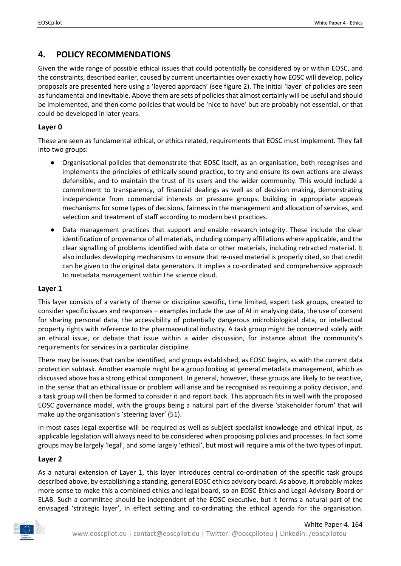# <span id="page-15-0"></span>**4. POLICY RECOMMENDATIONS**

Given the wide range of possible ethical issues that could potentially be considered by or within EOSC, and the constraints, described earlier, caused by current uncertainties over exactly how EOSC will develop, policy proposals are presented here using a 'layered approach' (see figure 2). The initial 'layer' of policies are seen as fundamental and inevitable. Above them are sets of policies that almost certainly will be useful and should be implemented, and then come policies that would be 'nice to have' but are probably not essential, or that could be developed in later years.

#### **Layer 0**

These are seen as fundamental ethical, or ethics related, requirements that EOSC must implement. They fall into two groups:

- Organisational policies that demonstrate that EOSC itself, as an organisation, both recognises and implements the principles of ethically sound practice, to try and ensure its own actions are always defensible, and to maintain the trust of its users and the wider community. This would include a commitment to transparency, of financial dealings as well as of decision making, demonstrating independence from commercial interests or pressure groups, building in appropriate appeals mechanisms for some types of decisions, fairness in the management and allocation of services, and selection and treatment of staff according to modern best practices.
- Data management practices that support and enable research integrity. These include the clear identification of provenance of all materials, including company affiliations where applicable, and the clear signalling of problems identified with data or other materials, including retracted material. It also includes developing mechanisms to ensure that re-used material is properly cited, so that credit can be given to the original data generators. It implies a co-ordinated and comprehensive approach to metadata management within the science cloud.

#### **Layer 1**

This layer consists of a variety of theme or discipline specific, time limited, expert task groups, created to consider specific issues and responses – examples include the use of AI in analysing data, the use of consent for sharing personal data, the accessibility of potentially dangerous microbiological data, or intellectual property rights with reference to the pharmaceutical industry. A task group might be concerned solely with an ethical issue, or debate that issue within a wider discussion, for instance about the community's requirements for services in a particular discipline.

There may be issues that can be identified, and groups established, as EOSC begins, as with the current data protection subtask. Another example might be a group looking at general metadata management, which as discussed above has a strong ethical component. In general, however, these groups are likely to be reactive, in the sense that an ethical issue or problem will arise and be recognised as requiring a policy decision, and a task group will then be formed to consider it and report back. This approach fits in well with the proposed EOSC governance model, with the groups being a natural part of the diverse 'stakeholder forum' that will make up the organisation's 'steering layer' (51).

In most cases legal expertise will be required as well as subject specialist knowledge and ethical input, as applicable legislation will always need to be considered when proposing policies and processes. In fact some groups may be largely 'legal', and some largely 'ethical', but most will require a mix of the two types of input.

#### **Layer 2**

As a natural extension of Layer 1, this layer introduces central co-ordination of the specific task groups described above, by establishing a standing, general EOSC ethics advisory board. As above, it probably makes more sense to make this a combined ethics and legal board, so an EOSC Ethics and Legal Advisory Board or ELAB. Such a committee should be independent of the EOSC executive, but it forms a natural part of the envisaged 'strategic layer', in effect setting and co-ordinating the ethical agenda for the organisation.

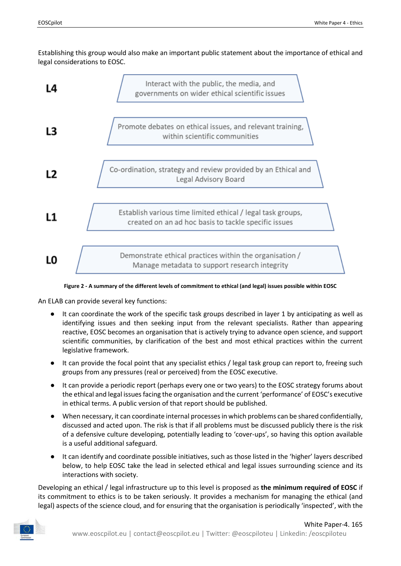Establishing this group would also make an important public statement about the importance of ethical and legal considerations to EOSC.



#### **Figure 2 - A summary of the different levels of commitment to ethical (and legal) issues possible within EOSC**

<span id="page-16-0"></span>An ELAB can provide several key functions:

- It can coordinate the work of the specific task groups described in layer 1 by anticipating as well as identifying issues and then seeking input from the relevant specialists. Rather than appearing reactive, EOSC becomes an organisation that is actively trying to advance open science, and support scientific communities, by clarification of the best and most ethical practices within the current legislative framework.
- It can provide the focal point that any specialist ethics / legal task group can report to, freeing such groups from any pressures (real or perceived) from the EOSC executive.
- It can provide a periodic report (perhaps every one or two years) to the EOSC strategy forums about the ethical and legal issues facing the organisation and the current 'performance' of EOSC's executive in ethical terms. A public version of that report should be published.
- When necessary, it can coordinate internal processesin which problems can be shared confidentially, discussed and acted upon. The risk is that if all problems must be discussed publicly there is the risk of a defensive culture developing, potentially leading to 'cover-ups', so having this option available is a useful additional safeguard.
- It can identify and coordinate possible initiatives, such as those listed in the 'higher' layers described below, to help EOSC take the lead in selected ethical and legal issues surrounding science and its interactions with society.

Developing an ethical / legal infrastructure up to this level is proposed as **the minimum required of EOSC** if its commitment to ethics is to be taken seriously. It provides a mechanism for managing the ethical (and legal) aspects of the science cloud, and for ensuring that the organisation is periodically 'inspected', with the

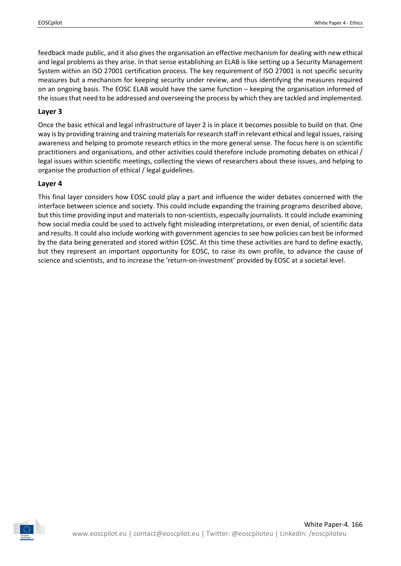feedback made public, and it also gives the organisation an effective mechanism for dealing with new ethical and legal problems as they arise. In that sense establishing an ELAB is like setting up a Security Management System within an ISO 27001 certification process. The key requirement of ISO 27001 is not specific security measures but a mechanism for keeping security under review, and thus identifying the measures required on an ongoing basis. The EOSC ELAB would have the same function – keeping the organisation informed of the issues that need to be addressed and overseeing the process by which they are tackled and implemented.

#### **Layer 3**

Once the basic ethical and legal infrastructure of layer 2 is in place it becomes possible to build on that. One way is by providing training and training materials for research staff in relevant ethical and legal issues, raising awareness and helping to promote research ethics in the more general sense. The focus here is on scientific practitioners and organisations, and other activities could therefore include promoting debates on ethical / legal issues within scientific meetings, collecting the views of researchers about these issues, and helping to organise the production of ethical / legal guidelines.

#### **Layer 4**

This final layer considers how EOSC could play a part and influence the wider debates concerned with the interface between science and society. This could include expanding the training programs described above, but this time providing input and materials to non-scientists, especially journalists. It could include examining how social media could be used to actively fight misleading interpretations, or even denial, of scientific data and results. It could also include working with government agencies to see how policies can best be informed by the data being generated and stored within EOSC. At this time these activities are hard to define exactly, but they represent an important opportunity for EOSC, to raise its own profile, to advance the cause of science and scientists, and to increase the 'return-on-investment' provided by EOSC at a societal level.

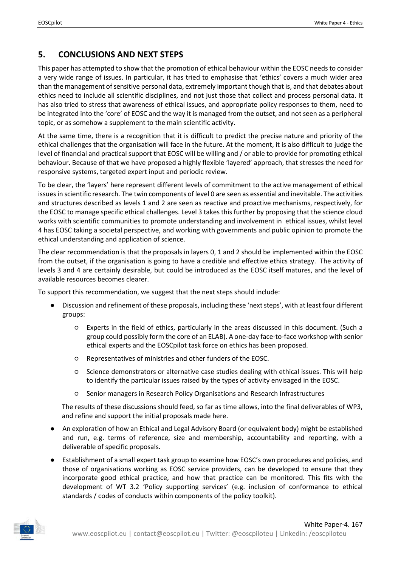# <span id="page-18-0"></span>**5. CONCLUSIONS AND NEXT STEPS**

This paper has attempted to show that the promotion of ethical behaviour within the EOSC needs to consider a very wide range of issues. In particular, it has tried to emphasise that 'ethics' covers a much wider area than the management of sensitive personal data, extremely important though that is, and that debates about ethics need to include all scientific disciplines, and not just those that collect and process personal data. It has also tried to stress that awareness of ethical issues, and appropriate policy responses to them, need to be integrated into the 'core' of EOSC and the way it is managed from the outset, and not seen as a peripheral topic, or as somehow a supplement to the main scientific activity.

At the same time, there is a recognition that it is difficult to predict the precise nature and priority of the ethical challenges that the organisation will face in the future. At the moment, it is also difficult to judge the level of financial and practical support that EOSC will be willing and / or able to provide for promoting ethical behaviour. Because of that we have proposed a highly flexible 'layered' approach, that stresses the need for responsive systems, targeted expert input and periodic review.

To be clear, the 'layers' here represent different levels of commitment to the active management of ethical issues in scientific research. The twin components of level 0 are seen as essential and inevitable. The activities and structures described as levels 1 and 2 are seen as reactive and proactive mechanisms, respectively, for the EOSC to manage specific ethical challenges. Level 3 takes this further by proposing that the science cloud works with scientific communities to promote understanding and involvement in ethical issues, whilst level 4 has EOSC taking a societal perspective, and working with governments and public opinion to promote the ethical understanding and application of science.

The clear recommendation is that the proposals in layers 0, 1 and 2 should be implemented within the EOSC from the outset, if the organisation is going to have a credible and effective ethics strategy. The activity of levels 3 and 4 are certainly desirable, but could be introduced as the EOSC itself matures, and the level of available resources becomes clearer.

To support this recommendation, we suggest that the next steps should include:

- Discussion and refinement of these proposals, including these 'next steps', with at least four different groups:
	- Experts in the field of ethics, particularly in the areas discussed in this document. (Such a group could possibly form the core of an ELAB). A one-day face-to-face workshop with senior ethical experts and the EOSCpilot task force on ethics has been proposed.
	- Representatives of ministries and other funders of the EOSC.
	- Science demonstrators or alternative case studies dealing with ethical issues. This will help to identify the particular issues raised by the types of activity envisaged in the EOSC.
	- Senior managers in Research Policy Organisations and Research Infrastructures

The results of these discussions should feed, so far as time allows, into the final deliverables of WP3, and refine and support the initial proposals made here.

- An exploration of how an Ethical and Legal Advisory Board (or equivalent body) might be established and run, e.g. terms of reference, size and membership, accountability and reporting, with a deliverable of specific proposals.
- Establishment of a small expert task group to examine how EOSC's own procedures and policies, and those of organisations working as EOSC service providers, can be developed to ensure that they incorporate good ethical practice, and how that practice can be monitored. This fits with the development of WT 3.2 'Policy supporting services' (e.g. inclusion of conformance to ethical standards / codes of conducts within components of the policy toolkit).

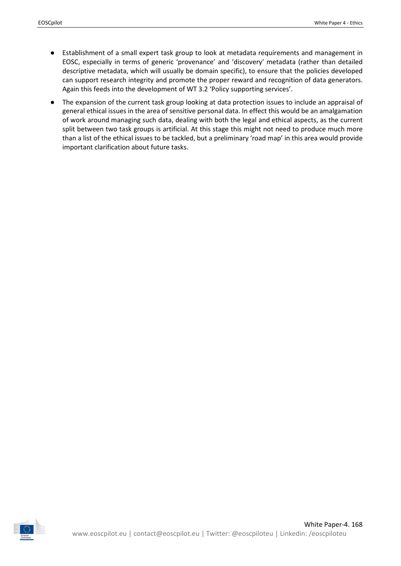- Establishment of a small expert task group to look at metadata requirements and management in EOSC, especially in terms of generic 'provenance' and 'discovery' metadata (rather than detailed descriptive metadata, which will usually be domain specific), to ensure that the policies developed can support research integrity and promote the proper reward and recognition of data generators. Again this feeds into the development of WT 3.2 'Policy supporting services'.
- The expansion of the current task group looking at data protection issues to include an appraisal of general ethical issues in the area of sensitive personal data. In effect this would be an amalgamation of work around managing such data, dealing with both the legal and ethical aspects, as the current split between two task groups is artificial. At this stage this might not need to produce much more than a list of the ethical issues to be tackled, but a preliminary 'road map' in this area would provide important clarification about future tasks.

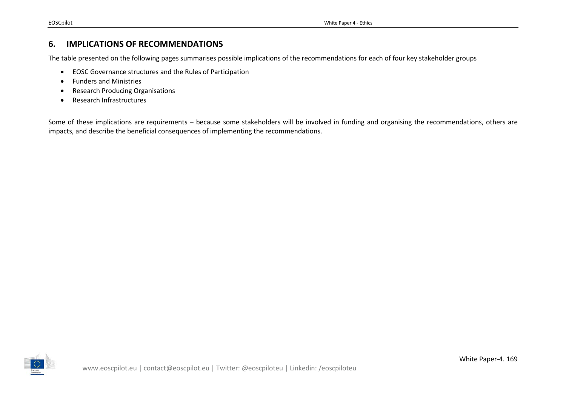## **6. IMPLICATIONS OF RECOMMENDATIONS**

The table presented on the following pages summarises possible implications of the recommendations for each of four key stakeholder groups

- EOSC Governance structures and the Rules of Participation
- Funders and Ministries
- Research Producing Organisations
- Research Infrastructures

<span id="page-20-0"></span>Some of these implications are requirements – because some stakeholders will be involved in funding and organising the recommendations, others are impacts, and describe the beneficial consequences of implementing the recommendations.

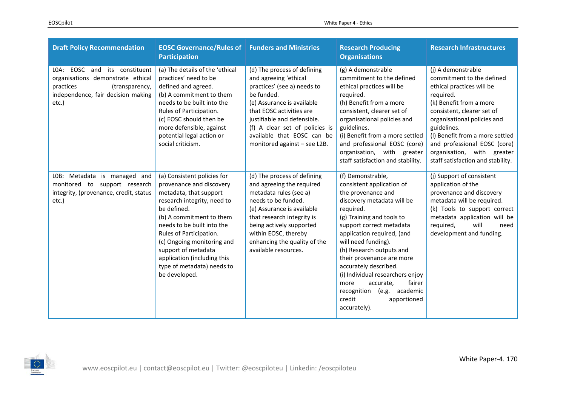| <b>Draft Policy Recommendation</b>                                                                                                               | <b>EOSC Governance/Rules of Funders and Ministries</b><br><b>Participation</b>                                                                                                                                                                                                                                                                          |                                                                                                                                                                                                                                                                                            | <b>Research Producing</b><br><b>Organisations</b>                                                                                                                                                                                                                                                                                                                                                                                                            | <b>Research Infrastructures</b>                                                                                                                                                                                                                                                                                                        |
|--------------------------------------------------------------------------------------------------------------------------------------------------|---------------------------------------------------------------------------------------------------------------------------------------------------------------------------------------------------------------------------------------------------------------------------------------------------------------------------------------------------------|--------------------------------------------------------------------------------------------------------------------------------------------------------------------------------------------------------------------------------------------------------------------------------------------|--------------------------------------------------------------------------------------------------------------------------------------------------------------------------------------------------------------------------------------------------------------------------------------------------------------------------------------------------------------------------------------------------------------------------------------------------------------|----------------------------------------------------------------------------------------------------------------------------------------------------------------------------------------------------------------------------------------------------------------------------------------------------------------------------------------|
| LOA: EOSC and its constituent<br>organisations demonstrate ethical<br>practices<br>(transparency,<br>independence, fair decision making<br>etc.) | (a) The details of the 'ethical<br>practices' need to be<br>defined and agreed.<br>(b) A commitment to them<br>needs to be built into the<br>Rules of Participation.<br>(c) EOSC should then be<br>more defensible, against<br>potential legal action or<br>social criticism.                                                                           | (d) The process of defining<br>and agreeing 'ethical<br>practices' (see a) needs to<br>be funded.<br>(e) Assurance is available<br>that EOSC activities are<br>justifiable and defensible.<br>(f) A clear set of policies is<br>available that EOSC can be<br>monitored against - see L2B. | (g) A demonstrable<br>commitment to the defined<br>ethical practices will be<br>required.<br>(h) Benefit from a more<br>consistent, clearer set of<br>organisational policies and<br>guidelines.<br>(i) Benefit from a more settled<br>and professional EOSC (core)<br>organisation, with greater<br>staff satisfaction and stability.                                                                                                                       | (j) A demonstrable<br>commitment to the defined<br>ethical practices will be<br>required.<br>(k) Benefit from a more<br>consistent, clearer set of<br>organisational policies and<br>guidelines.<br>(I) Benefit from a more settled<br>and professional EOSC (core)<br>organisation, with greater<br>staff satisfaction and stability. |
| LOB: Metadata is managed and<br>monitored to support research<br>integrity, (provenance, credit, status<br>etc.)                                 | (a) Consistent policies for<br>provenance and discovery<br>metadata, that support<br>research integrity, need to<br>be defined.<br>(b) A commitment to them<br>needs to be built into the<br>Rules of Participation.<br>(c) Ongoing monitoring and<br>support of metadata<br>application (including this<br>type of metadata) needs to<br>be developed. | (d) The process of defining<br>and agreeing the required<br>metadata rules (see a)<br>needs to be funded.<br>(e) Assurance is available<br>that research integrity is<br>being actively supported<br>within EOSC, thereby<br>enhancing the quality of the<br>available resources.          | (f) Demonstrable,<br>consistent application of<br>the provenance and<br>discovery metadata will be<br>required.<br>(g) Training and tools to<br>support correct metadata<br>application required, (and<br>will need funding).<br>(h) Research outputs and<br>their provenance are more<br>accurately described.<br>(i) Individual researchers enjoy<br>more<br>accurate,<br>fairer<br>(e.g. academic<br>recognition<br>credit<br>apportioned<br>accurately). | (j) Support of consistent<br>application of the<br>provenance and discovery<br>metadata will be required.<br>(k) Tools to support correct<br>metadata application will be<br>will<br>required,<br>need<br>development and funding.                                                                                                     |

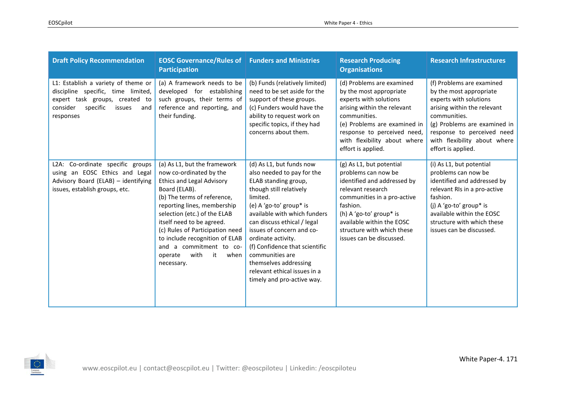| <b>Draft Policy Recommendation</b>                                                                                                                                | <b>EOSC Governance/Rules of Funders and Ministries</b><br><b>Participation</b>                                                                                                                                                                                                                                                                                                         |                                                                                                                                                                                                                                                                                                                                                                                                                | <b>Research Producing</b><br><b>Organisations</b>                                                                                                                                                                                                                | <b>Research Infrastructures</b>                                                                                                                                                                                                                   |
|-------------------------------------------------------------------------------------------------------------------------------------------------------------------|----------------------------------------------------------------------------------------------------------------------------------------------------------------------------------------------------------------------------------------------------------------------------------------------------------------------------------------------------------------------------------------|----------------------------------------------------------------------------------------------------------------------------------------------------------------------------------------------------------------------------------------------------------------------------------------------------------------------------------------------------------------------------------------------------------------|------------------------------------------------------------------------------------------------------------------------------------------------------------------------------------------------------------------------------------------------------------------|---------------------------------------------------------------------------------------------------------------------------------------------------------------------------------------------------------------------------------------------------|
| L1: Establish a variety of theme or<br>discipline specific, time limited,<br>expert task groups, created to<br>specific<br>consider<br>issues<br>and<br>responses | (a) A framework needs to be<br>developed for establishing<br>such groups, their terms of<br>reference and reporting, and<br>their funding.                                                                                                                                                                                                                                             | (b) Funds (relatively limited)<br>need to be set aside for the<br>support of these groups.<br>(c) Funders would have the<br>ability to request work on<br>specific topics, if they had<br>concerns about them.                                                                                                                                                                                                 | (d) Problems are examined<br>by the most appropriate<br>experts with solutions<br>arising within the relevant<br>communities.<br>(e) Problems are examined in<br>response to perceived need,<br>with flexibility about where<br>effort is applied.               | (f) Problems are examined<br>by the most appropriate<br>experts with solutions<br>arising within the relevant<br>communities.<br>(g) Problems are examined in<br>response to perceived need<br>with flexibility about where<br>effort is applied. |
| L2A: Co-ordinate specific groups<br>using an EOSC Ethics and Legal<br>Advisory Board (ELAB) - identifying<br>issues, establish groups, etc.                       | (a) As L1, but the framework<br>now co-ordinated by the<br><b>Ethics and Legal Advisory</b><br>Board (ELAB).<br>(b) The terms of reference,<br>reporting lines, membership<br>selection (etc.) of the ELAB<br>itself need to be agreed.<br>(c) Rules of Participation need<br>to include recognition of ELAB<br>and a commitment to co-<br>with<br>it<br>operate<br>when<br>necessary. | (d) As L1, but funds now<br>also needed to pay for the<br>ELAB standing group,<br>though still relatively<br>limited.<br>(e) A 'go-to' group* is<br>available with which funders<br>can discuss ethical / legal<br>issues of concern and co-<br>ordinate activity.<br>(f) Confidence that scientific<br>communities are<br>themselves addressing<br>relevant ethical issues in a<br>timely and pro-active way. | (g) As L1, but potential<br>problems can now be<br>identified and addressed by<br>relevant research<br>communities in a pro-active<br>fashion.<br>(h) A 'go-to' group* is<br>available within the EOSC<br>structure with which these<br>issues can be discussed. | (i) As L1, but potential<br>problems can now be<br>identified and addressed by<br>relevant RIs in a pro-active<br>fashion.<br>(j) A 'go-to' group* is<br>available within the EOSC<br>structure with which these<br>issues can be discussed.      |

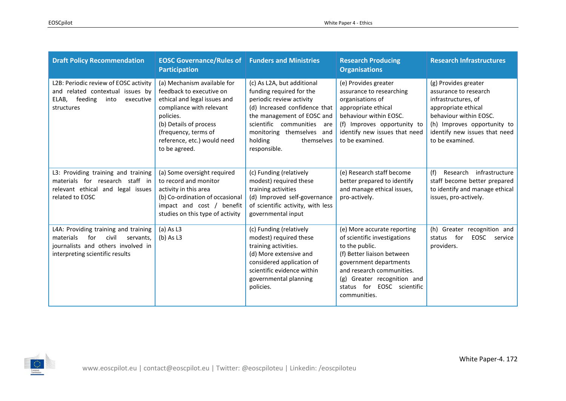| <b>Draft Policy Recommendation</b>                                                                                                                      | <b>EOSC Governance/Rules of Funders and Ministries</b><br><b>Participation</b>                                                                                                                                                     |                                                                                                                                                                                                                                                       | <b>Research Producing</b><br><b>Organisations</b>                                                                                                                                                                                               | <b>Research Infrastructures</b>                                                                                                                                                                          |
|---------------------------------------------------------------------------------------------------------------------------------------------------------|------------------------------------------------------------------------------------------------------------------------------------------------------------------------------------------------------------------------------------|-------------------------------------------------------------------------------------------------------------------------------------------------------------------------------------------------------------------------------------------------------|-------------------------------------------------------------------------------------------------------------------------------------------------------------------------------------------------------------------------------------------------|----------------------------------------------------------------------------------------------------------------------------------------------------------------------------------------------------------|
| L2B: Periodic review of EOSC activity<br>and related contextual issues by<br>ELAB,<br>feeding<br>into<br>executive<br>structures                        | (a) Mechanism available for<br>feedback to executive on<br>ethical and legal issues and<br>compliance with relevant<br>policies.<br>(b) Details of process<br>(frequency, terms of<br>reference, etc.) would need<br>to be agreed. | (c) As L2A, but additional<br>funding required for the<br>periodic review activity<br>(d) Increased confidence that<br>the management of EOSC and<br>scientific communities are<br>monitoring themselves and<br>holding<br>themselves<br>responsible. | (e) Provides greater<br>assurance to researching<br>organisations of<br>appropriate ethical<br>behaviour within EOSC.<br>(f) Improves opportunity to<br>identify new issues that need<br>to be examined.                                        | (g) Provides greater<br>assurance to research<br>infrastructures, of<br>appropriate ethical<br>behaviour within EOSC.<br>(h) Improves opportunity to<br>identify new issues that need<br>to be examined. |
| L3: Providing training and training<br>materials for research staff in<br>relevant ethical and legal issues<br>related to EOSC                          | (a) Some oversight required<br>to record and monitor<br>activity in this area<br>(b) Co-ordination of occasional<br>impact and cost / benefit<br>studies on this type of activity                                                  | (c) Funding (relatively<br>modest) required these<br>training activities<br>(d) Improved self-governance<br>of scientific activity, with less<br>governmental input                                                                                   | (e) Research staff become<br>better prepared to identify<br>and manage ethical issues,<br>pro-actively.                                                                                                                                         | (f)<br>Research<br>infrastructure<br>staff become better prepared<br>to identify and manage ethical<br>issues, pro-actively.                                                                             |
| L4A: Providing training and training<br>for<br>civil<br>materials<br>servants.<br>journalists and others involved in<br>interpreting scientific results | $(a)$ As L3<br>$(b)$ As L3                                                                                                                                                                                                         | (c) Funding (relatively<br>modest) required these<br>training activities.<br>(d) More extensive and<br>considered application of<br>scientific evidence within<br>governmental planning<br>policies.                                                  | (e) More accurate reporting<br>of scientific investigations<br>to the public.<br>(f) Better liaison between<br>government departments<br>and research communities.<br>(g) Greater recognition and<br>status for EOSC scientific<br>communities. | (h)<br>Greater recognition and<br>for<br>EOSC<br>status<br>service<br>providers.                                                                                                                         |

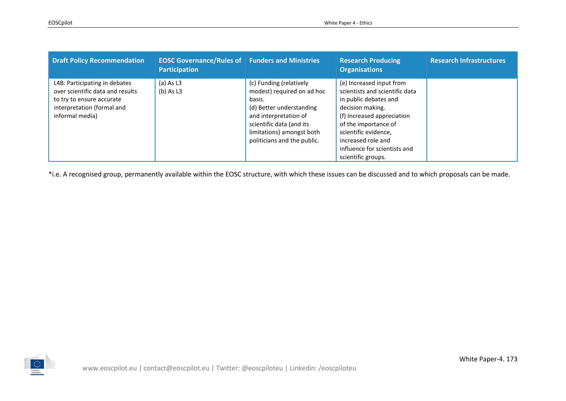| <b>Draft Policy Recommendation</b>                                                                                                              | <b>EOSC Governance/Rules of Funders and Ministries</b><br><b>Participation</b> |                                                                                                                                                                                                              | <b>Research Producing</b><br><b>Organisations</b>                                                                                                                                                                                                                 | <b>Research Infrastructures</b> |
|-------------------------------------------------------------------------------------------------------------------------------------------------|--------------------------------------------------------------------------------|--------------------------------------------------------------------------------------------------------------------------------------------------------------------------------------------------------------|-------------------------------------------------------------------------------------------------------------------------------------------------------------------------------------------------------------------------------------------------------------------|---------------------------------|
| L4B: Participating in debates<br>over scientific data and results<br>to try to ensure accurate<br>interpretation (formal and<br>informal media) | $(a)$ As L3<br>(b) As L3                                                       | (c) Funding (relatively<br>modest) required on ad hoc<br>basis.<br>(d) Better understanding<br>and interpretation of<br>scientific data (and its<br>limitations) amongst both<br>politicians and the public. | (e) Increased input from<br>scientists and scientific data<br>in public debates and<br>decision making.<br>(f) Increased appreciation<br>of the importance of<br>scientific evidence,<br>increased role and<br>influence for scientists and<br>scientific groups. |                                 |

\*i.e. A recognised group, permanently available within the EOSC structure, with which these issues can be discussed and to which proposals can be made.

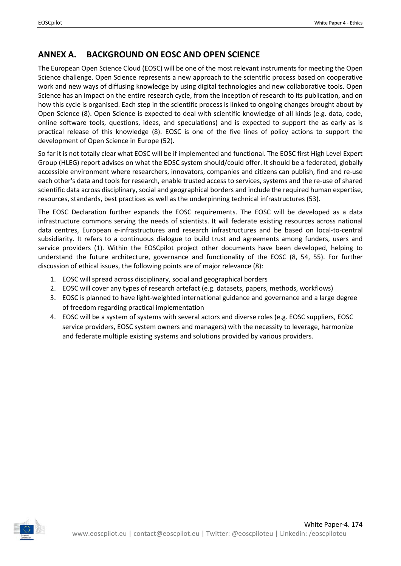# <span id="page-25-0"></span>**ANNEX A. BACKGROUND ON EOSC AND OPEN SCIENCE**

The European Open Science Cloud (EOSC) will be one of the most relevant instruments for meeting the Open Science challenge. Open Science represents a new approach to the scientific process based on cooperative work and new ways of diffusing knowledge by using digital technologies and new collaborative tools. Open Science has an impact on the entire research cycle, from the inception of research to its publication, and on how this cycle is organised. Each step in the scientific process is linked to ongoing changes brought about by Open Science (8). Open Science is expected to deal with scientific knowledge of all kinds (e.g. data, code, online software tools, questions, ideas, and speculations) and is expected to support the as early as is practical release of this knowledge (8). EOSC is one of the five lines of policy actions to support the development of Open Science in Europe (52).

So far it is not totally clear what EOSC will be if implemented and functional. The EOSC first High Level Expert Group (HLEG) report advises on what the EOSC system should/could offer. It should be a federated, globally accessible environment where researchers, innovators, companies and citizens can publish, find and re-use each other's data and tools for research, enable trusted access to services, systems and the re-use of shared scientific data across disciplinary, social and geographical borders and include the required human expertise, resources, standards, best practices as well as the underpinning technical infrastructures (53).

The EOSC Declaration further expands the EOSC requirements. The EOSC will be developed as a data infrastructure commons serving the needs of scientists. It will federate existing resources across national data centres, European e-infrastructures and research infrastructures and be based on local-to-central subsidiarity. It refers to a continuous dialogue to build trust and agreements among funders, users and service providers (1). Within the EOSCpilot project other documents have been developed, helping to understand the future architecture, governance and functionality of the EOSC (8, 54, 55). For further discussion of ethical issues, the following points are of major relevance (8):

- 1. EOSC will spread across disciplinary, social and geographical borders
- 2. EOSC will cover any types of research artefact (e.g. datasets, papers, methods, workflows)
- 3. EOSC is planned to have light-weighted international guidance and governance and a large degree of freedom regarding practical implementation
- 4. EOSC will be a system of systems with several actors and diverse roles (e.g. EOSC suppliers, EOSC service providers, EOSC system owners and managers) with the necessity to leverage, harmonize and federate multiple existing systems and solutions provided by various providers.

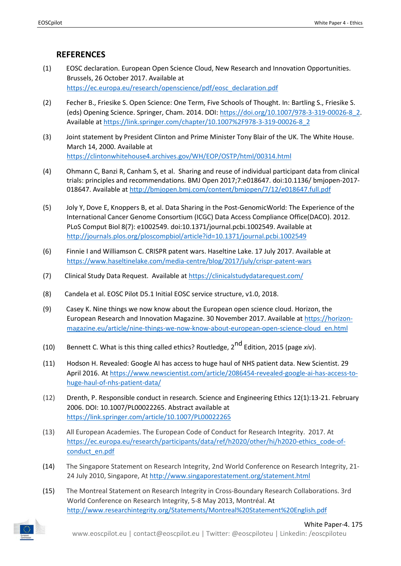### **REFERENCES**

- <span id="page-26-0"></span>(1) EOSC declaration. European Open Science Cloud, New Research and Innovation Opportunities. Brussels, 26 October 2017. Available a[t](https://ec.europa.eu/research/openscience/pdf/eosc_declaration.pdf) [https://ec.europa.eu/research/openscience/pdf/eosc\\_declaration.pdf](https://ec.europa.eu/research/openscience/pdf/eosc_declaration.pdf)
- (2) Fecher B., Friesike S. Open Science: One Term, Five Schools of Thought. In: Bartling S., Friesike S. (eds) Opening Science. Springer, Cham. 2014. DOI: [https://doi.org/10.1007/978-3-319-00026-8\\_2.](https://doi.org/10.1007/978-3-319-00026-8_2) Available a[t](https://link.springer.com/chapter/10.1007%2F978-3-319-00026-8_2) [https://link.springer.com/chapter/10.1007%2F978-3-319-00026-8\\_2](https://link.springer.com/chapter/10.1007%2F978-3-319-00026-8_2)
- (3) Joint statement by President Clinton and Prime Minister Tony Blair of the UK. The White House. March 14, 2000. Available a[t](https://clintonwhitehouse4.archives.gov/WH/EOP/OSTP/html/00314.html) <https://clintonwhitehouse4.archives.gov/WH/EOP/OSTP/html/00314.html>
- (4) Ohmann C, Banzi R, Canham S, et al. Sharing and reuse of individual participant data from clinical trials: principles and recommendations. BMJ Open 2017;7:e018647. doi:10.1136/ bmjopen-2017- 018647. Available at <http://bmjopen.bmj.com/content/bmjopen/7/12/e018647.full.pdf>
- (5) Joly Y, Dove E, Knoppers B, et al. Data Sharing in the Post-GenomicWorld: The Experience of the International Cancer Genome Consortium (ICGC) Data Access Compliance Office(DACO). 2012. PLoS Comput Biol 8(7): e1002549. doi:10.1371/journal.pcbi.1002549. Available a[t](http://journals.plos.org/ploscompbiol/article?id=10.1371/journal.pcbi.1002549) <http://journals.plos.org/ploscompbiol/article?id=10.1371/journal.pcbi.1002549>
- (6) Finnie I and Williamson C. CRISPR patent wars. Haseltine Lake. 17 July 2017. Available at <https://www.haseltinelake.com/media-centre/blog/2017/july/crispr-patent-wars>
- (7) Clinical Study Data Request. Available at <https://clinicalstudydatarequest.com/>
- (8) Candela et al. EOSC Pilot D5.1 Initial EOSC service structure, v1.0, 2018.
- (9) Casey K. Nine things we now know about the European open science cloud. Horizon, the European Research and Innovation Magazine. 30 November 2017. Available a[t](https://horizon-magazine.eu/article/nine-things-we-now-know-about-european-open-science-cloud_en.html) [https://horizon](https://horizon-magazine.eu/article/nine-things-we-now-know-about-european-open-science-cloud_en.html)[magazine.eu/article/nine-things-we-now-know-about-european-open-science-cloud\\_en.html](https://horizon-magazine.eu/article/nine-things-we-now-know-about-european-open-science-cloud_en.html)
- (10) Bennett C. What is this thing called ethics? Routledge, 2nd Edition, 2015 (page *xiv*).
- (11) Hodson H. Revealed: Google AI has access to huge haul of NHS patient data. New Scientist. 29 April 2016. A[t](https://www.newscientist.com/article/2086454-revealed-google-ai-has-access-to-huge-haul-of-nhs-patient-data/) [https://www.newscientist.com/article/2086454-revealed-google-ai-has-access-to](https://www.newscientist.com/article/2086454-revealed-google-ai-has-access-to-huge-haul-of-nhs-patient-data/)[huge-haul-of-nhs-patient-data/](https://www.newscientist.com/article/2086454-revealed-google-ai-has-access-to-huge-haul-of-nhs-patient-data/)
- (12) Drenth, P. Responsible conduct in research. Science and Engineering Ethics 12(1):13-21. February 2006. DOI: 10.1007/PL00022265. Abstract available a[t](https://link.springer.com/article/10.1007/PL00022265) <https://link.springer.com/article/10.1007/PL00022265>
- (13) All European Academies. The European Code of Conduct for Research Integrity. 2017. A[t](https://ec.europa.eu/research/participants/data/ref/h2020/other/hi/h2020-ethics_code-of-conduct_en.pdf) [https://ec.europa.eu/research/participants/data/ref/h2020/other/hi/h2020-ethics\\_code-of](https://ec.europa.eu/research/participants/data/ref/h2020/other/hi/h2020-ethics_code-of-conduct_en.pdf)[conduct\\_en.pdf](https://ec.europa.eu/research/participants/data/ref/h2020/other/hi/h2020-ethics_code-of-conduct_en.pdf)
- (14) The Singapore Statement on Research Integrity, 2nd World Conference on Research Integrity, 21- 24 July 2010, Singapore, At <http://www.singaporestatement.org/statement.html>
- (15) The Montreal Statement on Research Integrity in Cross-Boundary Research Collaborations. 3rd World Conference on Research Integrity, 5-8 May 2013, Montréal. A[t](http://www.researchintegrity.org/Statements/Montreal%20Statement%20English.pdf) <http://www.researchintegrity.org/Statements/Montreal%20Statement%20English.pdf>

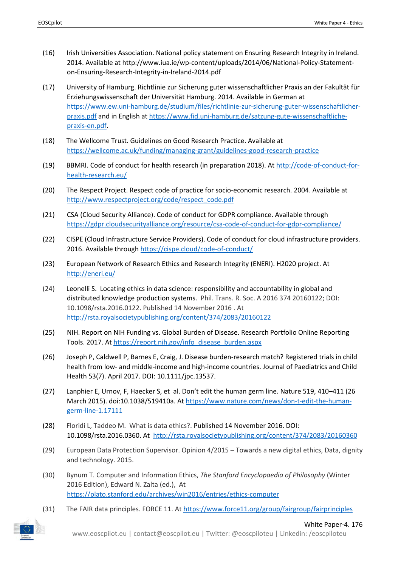- (16) Irish Universities Association. National policy statement on Ensuring Research Integrity in Ireland. 2014. Available at http://www.iua.ie/wp-content/uploads/2014/06/National-Policy-Statementon-Ensuring-Research-Integrity-in-Ireland-2014.pdf
- (17) University of Hamburg. Richtlinie zur Sicherung guter wissenschaftlicher Praxis an der Fakultät für Erziehungswissenschaft der Universität Hamburg. 2014. Available in German a[t](https://www.ew.uni-hamburg.de/studium/files/richtlinie-zur-sicherung-guter-wissenschaftlicher-praxis.pdf) [https://www.ew.uni-hamburg.de/studium/files/richtlinie-zur-sicherung-guter-wissenschaftlicher](https://www.ew.uni-hamburg.de/studium/files/richtlinie-zur-sicherung-guter-wissenschaftlicher-praxis.pdf)[praxis.pdf](https://www.ew.uni-hamburg.de/studium/files/richtlinie-zur-sicherung-guter-wissenschaftlicher-praxis.pdf) and in English at [https://www.fid.uni-hamburg.de/satzung-gute-wissenschaftliche](https://www.fid.uni-hamburg.de/satzung-gute-wissenschaftliche-praxis-en.pdf)[praxis-en.pdf.](https://www.fid.uni-hamburg.de/satzung-gute-wissenschaftliche-praxis-en.pdf)
- (18) The Wellcome Trust. Guidelines on Good Research Practice. Available a[t](https://wellcome.ac.uk/funding/managing-grant/guidelines-good-research-practice) <https://wellcome.ac.uk/funding/managing-grant/guidelines-good-research-practice>
- (19) BBMRI. Code of conduct for health research (in preparation 2018). At [http://code-of-conduct-for](http://code-of-conduct-for-health-research.eu/)[health-research.eu/](http://code-of-conduct-for-health-research.eu/)
- (20) The Respect Project. Respect code of practice for socio-economic research. 2004. Available a[t](http://www.respectproject.org/code/respect_code.pdf) [http://www.respectproject.org/code/respect\\_code.pdf](http://www.respectproject.org/code/respect_code.pdf)
- (21) CSA (Cloud Security Alliance). Code of conduct for GDPR compliance. Available throug[h](https://gdpr.cloudsecurityalliance.org/resource/csa-code-of-conduct-for-gdpr-compliance/) <https://gdpr.cloudsecurityalliance.org/resource/csa-code-of-conduct-for-gdpr-compliance/>
- (22) CISPE (Cloud Infrastructure Service Providers). Code of conduct for cloud infrastructure providers. 2016. Available through <https://cispe.cloud/code-of-conduct/>
- (23) European Network of Research Ethics and Research Integrity (ENERI). H2020 project. A[t](http://eneri.eu/) <http://eneri.eu/>
- (24) Leonelli S. Locating ethics in data science: responsibility and accountability in global and distributed knowledge production systems. Phil. Trans. R. Soc. A 2016 374 20160122; DOI: 10.1098/rsta.2016.0122. Published 14 November 2016 . A[t](http://rsta.royalsocietypublishing.org/content/374/2083/20160122) <http://rsta.royalsocietypublishing.org/content/374/2083/20160122>
- (25) NIH. Report on NIH Funding vs. Global Burden of Disease. Research Portfolio Online Reporting Tools. 2017. At [https://report.nih.gov/info\\_disease\\_burden.aspx](https://report.nih.gov/info_disease_burden.aspx)
- (26) [Joseph](https://www.researchgate.net/scientific-contributions/2116149867_Pathma_D_Joseph) P, [Caldwell](https://www.researchgate.net/scientific-contributions/2137119756_Patrina_HY_Caldwell) P, [Barnes](https://www.researchgate.net/scientific-contributions/71758982_Elizabeth_H_Barnes) E, [Craig,](https://www.researchgate.net/profile/Jonathan_Craig3) J. Disease burden-research match? Registered trials in child health from low- and middle-income and high-income countries. Journal of Paediatrics and Child Health 53(7). April 2017. DOI: 10.1111/jpc.13537.
- (27) [Lanphier](https://www.nature.com/news/don-t-edit-the-human-germ-line-1.17111#auth-1) E, [Urnov,](https://www.nature.com/news/don-t-edit-the-human-germ-line-1.17111#auth-2) F, [Haecker](https://www.nature.com/news/don-t-edit-the-human-germ-line-1.17111#auth-3) S, et al. Don't edit the human germ line. Nature 519, 410–411 (26 March 2015). doi:10.1038/519410a. A[t](https://www.nature.com/news/don-t-edit-the-human-germ-line-1.17111) [https://www.nature.com/news/don-t-edit-the-human](https://www.nature.com/news/don-t-edit-the-human-germ-line-1.17111)[germ-line-1.17111](https://www.nature.com/news/don-t-edit-the-human-germ-line-1.17111)
- (28) Floridi L, Taddeo M. What is data ethics?. Published 14 November 2016. DOI: 10.1098/rsta.2016.0360. At <http://rsta.royalsocietypublishing.org/content/374/2083/20160360>
- (29) European Data Protection Supervisor. Opinion 4/2015 Towards a new digital ethics, Data, dignity and technology. 2015.
- (30) Bynum T. Computer and Information Ethics, *The Stanford Encyclopaedia of Philosophy* (Winter 2016 Edition), Edward N. Zalta (ed.), A[t](https://plato.stanford.edu/archives/win2016/entries/ethics-computer) <https://plato.stanford.edu/archives/win2016/entries/ethics-computer>
- (31) The FAIR data principles. FORCE 11. At <https://www.force11.org/group/fairgroup/fairprinciples>



White Paper-4. 176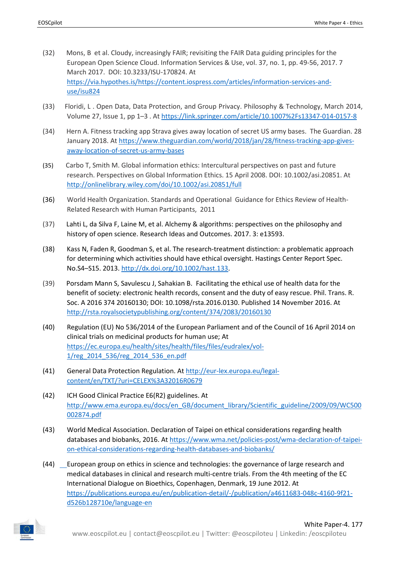- (32) [Mons, B](https://via.hypothes.is/https:/content.iospress.com:443/search?q=author%3A%28%22Mons,%20Barend%22%29) et al. Cloudy, increasingly FAIR; revisiting the FAIR Data guiding principles for the European Open Science Cloud. [Information Services & Use,](https://via.hypothes.is/https:/content.iospress.com:443/journals/information-services-and-use) vol. 37, no. 1, pp. 49-56, 2017. 7 March 2017. DOI: 10.3233/ISU-170824. A[t](https://via.hypothes.is/https:/content.iospress.com/articles/information-services-and-use/isu824) [https://via.hypothes.is/https://content.iospress.com/articles/information-services-and](https://via.hypothes.is/https:/content.iospress.com/articles/information-services-and-use/isu824)[use/isu824](https://via.hypothes.is/https:/content.iospress.com/articles/information-services-and-use/isu824)
- (33) Floridi, L . Open Data, Data Protection, and Group Privacy. [Philosophy & Technology,](https://link.springer.com/journal/13347) March 2014, Volume 27, [Issue 1,](https://link.springer.com/journal/13347/27/1/page/1) pp 1–3 . At <https://link.springer.com/article/10.1007%2Fs13347-014-0157-8>
- (34) Hern A. Fitness tracking app Strava gives away location of secret US army bases. The Guardian. 28 January 2018. At [https://www.theguardian.com/world/2018/jan/28/fitness-tracking-app-gives](https://www.theguardian.com/world/2018/jan/28/fitness-tracking-app-gives-away-location-of-secret-us-army-bases)[away-location-of-secret-us-army-bases](https://www.theguardian.com/world/2018/jan/28/fitness-tracking-app-gives-away-location-of-secret-us-army-bases)
- (35) Carbo T, Smith M. Global information ethics: Intercultural perspectives on past and future research. Perspectives on Global Information Ethics. 15 April 2008. DOI: 10.1002/asi.20851. A[t](http://onlinelibrary.wiley.com/doi/10.1002/asi.20851/full) <http://onlinelibrary.wiley.com/doi/10.1002/asi.20851/full>
- (36) World Health Organization. Standards and Operational Guidance for Ethics Review of Health-Related Research with Human Participants, 2011
- (37) Lahti L, da Silva F, Laine M, et al. Alchemy & algorithms: perspectives on the philosophy and history of open science. Research Ideas and Outcomes. 2017. 3: e13593.
- (38) Kass N, Faden R, Goodman S, et al. The research-treatment distinction: a problematic approach for determining which activities should have ethical oversight. Hastings Center Report Spec. No.S4–S15. 2013. [http://dx.doi.org/10.1002/hast.133.](http://dx.doi.org/10.1002/hast.133)
- (39) Porsdam Mann S, Savulescu J, Sahakian B. [Facilitating the ethical use of health data for the](http://rsta.royalsocietypublishing.org/content/374/2083/20160130)  [benefit of society: electronic health records, consent and the duty of easy rescue.](http://rsta.royalsocietypublishing.org/content/374/2083/20160130) Phil. Trans. R. Soc. A 2016 374 20160130; DOI: 10.1098/rsta.2016.0130. Published 14 November 2016. A[t](http://rsta.royalsocietypublishing.org/content/374/2083/20160130) <http://rsta.royalsocietypublishing.org/content/374/2083/20160130>
- (40) Regulation (EU) No 536/2014 of the European Parliament and of the Council of 16 April 2014 on clinical trials on medicinal products for human use; A[t](https://ec.europa.eu/health/sites/health/files/files/eudralex/vol-1/reg_2014_536/reg_2014_536_en.pdf) [https://ec.europa.eu/health/sites/health/files/files/eudralex/vol-](https://ec.europa.eu/health/sites/health/files/files/eudralex/vol-1/reg_2014_536/reg_2014_536_en.pdf)[1/reg\\_2014\\_536/reg\\_2014\\_536\\_en.pdf](https://ec.europa.eu/health/sites/health/files/files/eudralex/vol-1/reg_2014_536/reg_2014_536_en.pdf)
- (41) General Data Protection Regulation. A[t](http://eur-lex.europa.eu/legal-content/en/TXT/?uri=CELEX%3A32016R0679) [http://eur-lex.europa.eu/legal](http://eur-lex.europa.eu/legal-content/en/TXT/?uri=CELEX%3A32016R0679)[content/en/TXT/?uri=CELEX%3A32016R0679](http://eur-lex.europa.eu/legal-content/en/TXT/?uri=CELEX%3A32016R0679)
- (42) ICH Good Clinical Practice E6(R2) guidelines. A[t](http://www.ema.europa.eu/docs/en_GB/document_library/Scientific_guideline/2009/09/WC500002874.pdf) [http://www.ema.europa.eu/docs/en\\_GB/document\\_library/Scientific\\_guideline/2009/09/WC500](http://www.ema.europa.eu/docs/en_GB/document_library/Scientific_guideline/2009/09/WC500002874.pdf) [002874.pdf](http://www.ema.europa.eu/docs/en_GB/document_library/Scientific_guideline/2009/09/WC500002874.pdf)
- (43) World Medical Association. Declaration of Taipei on ethical considerations regarding health databases and biobanks, 2016. A[t](https://www.wma.net/policies-post/wma-declaration-of-taipei-on-ethical-considerations-regarding-health-databases-and-biobanks/) [https://www.wma.net/policies-post/wma-declaration-of-taipei](https://www.wma.net/policies-post/wma-declaration-of-taipei-on-ethical-considerations-regarding-health-databases-and-biobanks/)[on-ethical-considerations-regarding-health-databases-and-biobanks/](https://www.wma.net/policies-post/wma-declaration-of-taipei-on-ethical-considerations-regarding-health-databases-and-biobanks/)
- (44) European group on ethics in science and technologies: the governance of large research and medical databases in clinical and research multi-centre trials. From the 4th meeting of the EC International Dialogue on Bioethics, Copenhagen, Denmark, 19 June 2012. A[t](https://publications.europa.eu/en/publication-detail/-/publication/a4611683-048c-4160-9f21-d526b128710e/language-en) [https://publications.europa.eu/en/publication-detail/-/publication/a4611683-048c-4160-9f21](https://publications.europa.eu/en/publication-detail/-/publication/a4611683-048c-4160-9f21-d526b128710e/language-en) [d526b128710e/language-en](https://publications.europa.eu/en/publication-detail/-/publication/a4611683-048c-4160-9f21-d526b128710e/language-en)

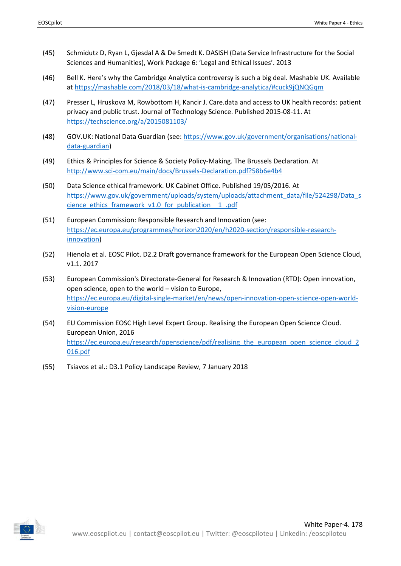- (45) Schmidutz D, Ryan L, Gjesdal A & De Smedt K. DASISH (Data Service Infrastructure for the Social Sciences and Humanities), Work Package 6: 'Legal and Ethical Issues'. 2013
- (46) Bell K. Here's why the Cambridge Analytica controversy is such a big deal. Mashable UK. Available a[t](https://mashable.com/2018/03/18/what-is-cambridge-analytica/#cuck9jQNQGqm) <https://mashable.com/2018/03/18/what-is-cambridge-analytica/#cuck9jQNQGqm>
- (47) Presser L, Hruskova M, Rowbottom H, Kancir J. Care.data and access to UK health records: patient privacy and public trust. Journal of Technology Science. Published 2015-08-11. A[t](https://techscience.org/a/2015081103/) <https://techscience.org/a/2015081103/>
- (48) GOV.UK: National Data Guardian (see: [https://www.gov.uk/government/organisations/national](https://www.gov.uk/government/organisations/national-data-guardian)[data-guardian\)](https://www.gov.uk/government/organisations/national-data-guardian)
- (49) Ethics & Principles for Science & Society Policy-Making. The Brussels Declaration. A[t](http://www.sci-com.eu/main/docs/Brussels-Declaration.pdf?58b6e4b4) <http://www.sci-com.eu/main/docs/Brussels-Declaration.pdf?58b6e4b4>
- (50) Data Science ethical framework. UK Cabinet Office. Published 19/05/2016. A[t](https://www.gov.uk/government/uploads/system/uploads/attachment_data/file/524298/Data_science_ethics_framework_v1.0_for_publication__1_.pdf) [https://www.gov.uk/government/uploads/system/uploads/attachment\\_data/file/524298/Data\\_s](https://www.gov.uk/government/uploads/system/uploads/attachment_data/file/524298/Data_science_ethics_framework_v1.0_for_publication__1_.pdf) [cience\\_ethics\\_framework\\_v1.0\\_for\\_publication\\_\\_1\\_.pdf](https://www.gov.uk/government/uploads/system/uploads/attachment_data/file/524298/Data_science_ethics_framework_v1.0_for_publication__1_.pdf)
- (51) European Commission: Responsible Research and Innovation (see[:](https://ec.europa.eu/programmes/horizon2020/en/h2020-section/responsible-research-innovation) [https://ec.europa.eu/programmes/horizon2020/en/h2020-section/responsible-research](https://ec.europa.eu/programmes/horizon2020/en/h2020-section/responsible-research-innovation)[innovation\)](https://ec.europa.eu/programmes/horizon2020/en/h2020-section/responsible-research-innovation)
- (52) Hienola et al. EOSC Pilot. D2.2 Draft governance framework for the European Open Science Cloud, v1.1. 2017
- (53) European Commission's Directorate-General for Research & Innovation (RTD): Open innovation, open science, open to the world  $-$  vision to Europe, [https://ec.europa.eu/digital-single-market/en/news/open-innovation-open-science-open-world](https://ec.europa.eu/digital-single-market/en/news/open-innovation-open-science-open-world-vision-europe)[vision-europe](https://ec.europa.eu/digital-single-market/en/news/open-innovation-open-science-open-world-vision-europe)
- (54) EU Commission EOSC High Level Expert Group. Realising the European Open Science Cloud. European Union, 2016 [https://ec.europa.eu/research/openscience/pdf/realising\\_the\\_european\\_open\\_science\\_cloud\\_2](https://ec.europa.eu/research/openscience/pdf/realising_the_european_open_science_cloud_2016.pdf) [016.pdf](https://ec.europa.eu/research/openscience/pdf/realising_the_european_open_science_cloud_2016.pdf)
- (55) Tsiavos et al.: D3.1 Policy Landscape Review, 7 January 2018

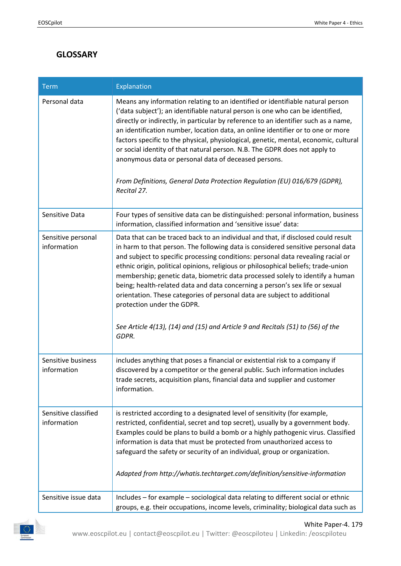# <span id="page-30-0"></span>**GLOSSARY**

| <b>Term</b>                         | Explanation                                                                                                                                                                                                                                                                                                                                                                                                                                                                                                                                                                                                                                                                                                            |
|-------------------------------------|------------------------------------------------------------------------------------------------------------------------------------------------------------------------------------------------------------------------------------------------------------------------------------------------------------------------------------------------------------------------------------------------------------------------------------------------------------------------------------------------------------------------------------------------------------------------------------------------------------------------------------------------------------------------------------------------------------------------|
| Personal data                       | Means any information relating to an identified or identifiable natural person<br>('data subject'); an identifiable natural person is one who can be identified,<br>directly or indirectly, in particular by reference to an identifier such as a name,<br>an identification number, location data, an online identifier or to one or more<br>factors specific to the physical, physiological, genetic, mental, economic, cultural<br>or social identity of that natural person. N.B. The GDPR does not apply to<br>anonymous data or personal data of deceased persons.<br>From Definitions, General Data Protection Regulation (EU) 016/679 (GDPR),<br>Recital 27.                                                   |
| Sensitive Data                      | Four types of sensitive data can be distinguished: personal information, business<br>information, classified information and 'sensitive issue' data:                                                                                                                                                                                                                                                                                                                                                                                                                                                                                                                                                                   |
| Sensitive personal<br>information   | Data that can be traced back to an individual and that, if disclosed could result<br>in harm to that person. The following data is considered sensitive personal data<br>and subject to specific processing conditions: personal data revealing racial or<br>ethnic origin, political opinions, religious or philosophical beliefs; trade-union<br>membership; genetic data, biometric data processed solely to identify a human<br>being; health-related data and data concerning a person's sex life or sexual<br>orientation. These categories of personal data are subject to additional<br>protection under the GDPR.<br>See Article 4(13), (14) and (15) and Article 9 and Recitals (51) to (56) of the<br>GDPR. |
| Sensitive business<br>information   | includes anything that poses a financial or existential risk to a company if<br>discovered by a competitor or the general public. Such information includes<br>trade secrets, acquisition plans, financial data and supplier and customer<br>information.                                                                                                                                                                                                                                                                                                                                                                                                                                                              |
| Sensitive classified<br>information | is restricted according to a designated level of sensitivity (for example,<br>restricted, confidential, secret and top secret), usually by a government body.<br>Examples could be plans to build a bomb or a highly pathogenic virus. Classified<br>information is data that must be protected from unauthorized access to<br>safeguard the safety or security of an individual, group or organization.<br>Adapted from http://whatis.techtarget.com/definition/sensitive-information                                                                                                                                                                                                                                 |
| Sensitive issue data                | Includes - for example - sociological data relating to different social or ethnic<br>groups, e.g. their occupations, income levels, criminality; biological data such as                                                                                                                                                                                                                                                                                                                                                                                                                                                                                                                                               |